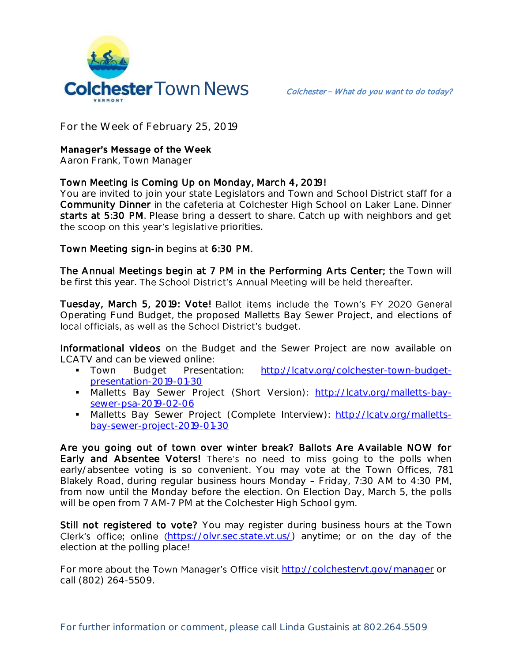

**For the Week of February 25, 2019**

# **Manager's Message of the Week**

**Aaron Frank, Town Manager**

# Town Meeting is Coming Up on Monday, March 4, 2019!

You are invited to join your state Legislators and Town and School District staff for a Community Dinner in the cafeteria at Colchester High School on Laker Lane. Dinner starts at 5:30 PM. Please bring a dessert to share. Catch up with neighbors and get the scoop on this year's legislative priorities.

Town Meeting sign-in begins at 6:30 PM.

The Annual Meetings begin at 7 PM in the Performing Arts Center; the Town will be first this year. The School District's Annual Meeting will be held thereafter.

Tuesday, March 5, 2019: Vote! Ballot items include the Town's FY 2020 General Operating Fund Budget, the proposed Malletts Bay Sewer Project, and elections of local officials, as well as the School District's budget.

Informational videos on the Budget and the Sewer Project are now available on LCATV and can be viewed online:

- Town Budget Presentation: [http://lcatv.org/colchester-town-budget](http://lcatv.org/colchester-town-budget-presentation-2019-01-30)[presentation-2019-01-30](http://lcatv.org/colchester-town-budget-presentation-2019-01-30)
- Malletts Bay Sewer Project (Short Version): [http://lcatv.org/malletts-bay](http://lcatv.org/malletts-bay-sewer-psa-2019-02-06)[sewer-psa-2019-02-06](http://lcatv.org/malletts-bay-sewer-psa-2019-02-06)
- Malletts Bay Sewer Project (Complete Interview): [http://lcatv.org/malletts](http://lcatv.org/malletts-bay-sewer-project-2019-01-30)[bay-sewer-project-2019-01-30](http://lcatv.org/malletts-bay-sewer-project-2019-01-30)

Are you going out of town over winter break? Ballots Are Available NOW for Early and Absentee Voters! There's no need to miss going to the polls when early/absentee voting is so convenient. You may vote at the Town Offices, 781 Blakely Road, during regular business hours Monday - Friday, 7:30 AM to 4:30 PM, from now until the Monday before the election. On Election Day, March 5, the polls will be open from 7 AM-7 PM at the Colchester High School gym.

Still not registered to vote? You may register during business hours at the Town Clerk's office; online ([https://olvr.sec.state.vt.us/\)](https://olvr.sec.state.vt.us/) anytime; or on the day of the election at the polling place!

For more about the Town Manager's Office visit <http://colchestervt.gov/manager> or call (802) 264-5509.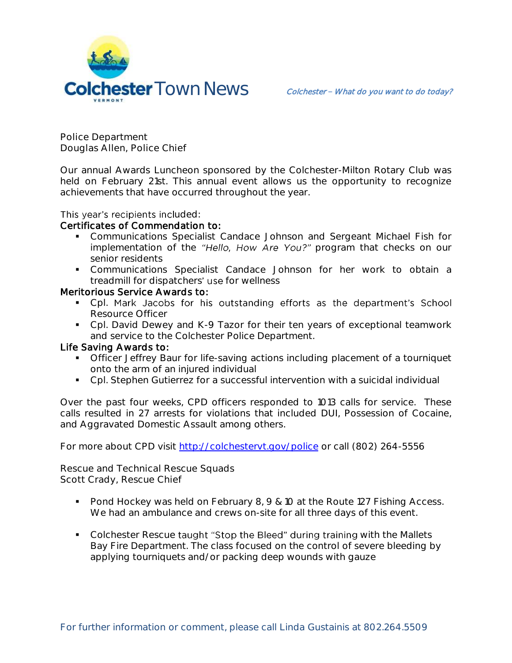

**Police Department Douglas Allen, Police Chief** 

Our annual Awards Luncheon sponsored by the Colchester-Milton Rotary Club was held on February 21st. This annual event allows us the opportunity to recognize achievements that have occurred throughout the year.

#### This year's recipients included:

### Certificates of Commendation to:

- Communications Specialist Candace Johnson and Sergeant Michael Fish for implementation of the "Hello, How Are You?" program that checks on our senior residents
- Communications Specialist Candace Johnson for her work to obtain a treadmill for dispatchers' use for wellness

## Meritorious Service Awards to:

- Cpl. Mark Jacobs for his outstanding efforts as the department's School Resource Officer
- Cpl. David Dewey and K-9 Tazor for their ten years of exceptional teamwork and service to the Colchester Police Department.

## Life Saving Awards to:

- **•** Officer Jeffrey Baur for life-saving actions including placement of a tourniquet onto the arm of an injured individual
- Cpl. Stephen Gutierrez for a successful intervention with a suicidal individual

Over the past four weeks, CPD officers responded to 1013 calls for service. These calls resulted in 27 arrests for violations that included DUI, Possession of Cocaine, and Aggravated Domestic Assault among others.

For more about CPD visit<http://colchestervt.gov/police> or call (802) 264-5556

**Rescue and Technical Rescue Squads Scott Crady, Rescue Chief**

- Pond Hockey was held on February 8, 9 & 10 at the Route 127 Fishing Access. We had an ambulance and crews on-site for all three days of this event.
- Colchester Rescue taught "Stop the Bleed" during training with the Mallets Bay Fire Department. The class focused on the control of severe bleeding by applying tourniquets and/or packing deep wounds with gauze